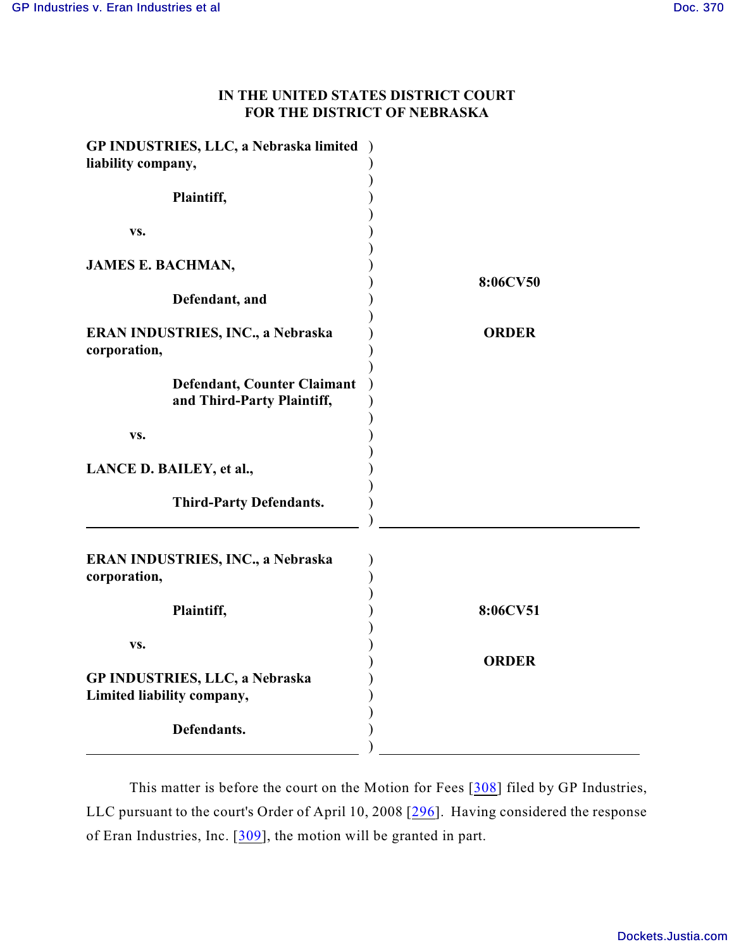## **IN THE UNITED STATES DISTRICT COURT FOR THE DISTRICT OF NEBRASKA**

| GP INDUSTRIES, LLC, a Nebraska limited )                         |              |  |
|------------------------------------------------------------------|--------------|--|
| liability company,                                               |              |  |
| Plaintiff,                                                       |              |  |
| VS.                                                              |              |  |
| <b>JAMES E. BACHMAN,</b>                                         | 8:06CV50     |  |
| Defendant, and                                                   |              |  |
| ERAN INDUSTRIES, INC., a Nebraska<br>corporation,                | <b>ORDER</b> |  |
| <b>Defendant, Counter Claimant</b><br>and Third-Party Plaintiff, |              |  |
| VS.                                                              |              |  |
| LANCE D. BAILEY, et al.,                                         |              |  |
| <b>Third-Party Defendants.</b>                                   |              |  |
| ERAN INDUSTRIES, INC., a Nebraska<br>corporation,                |              |  |
| Plaintiff,                                                       | 8:06CV51     |  |
| VS.                                                              |              |  |
| GP INDUSTRIES, LLC, a Nebraska<br>Limited liability company,     | <b>ORDER</b> |  |
| Defendants.                                                      |              |  |

This matter is before the court on the Motion for Fees [[308](https://ecf.ned.uscourts.gov/doc1/11301472110)] filed by GP Industries, LLC pursuant to the court's Order of April 10, 2008 [\[296](https://ecf.ned.uscourts.gov/doc1/11301419497)]. Having considered the response of Eran Industries, Inc. [\[309](https://ecf.ned.uscourts.gov/doc1/11301481906)], the motion will be granted in part.